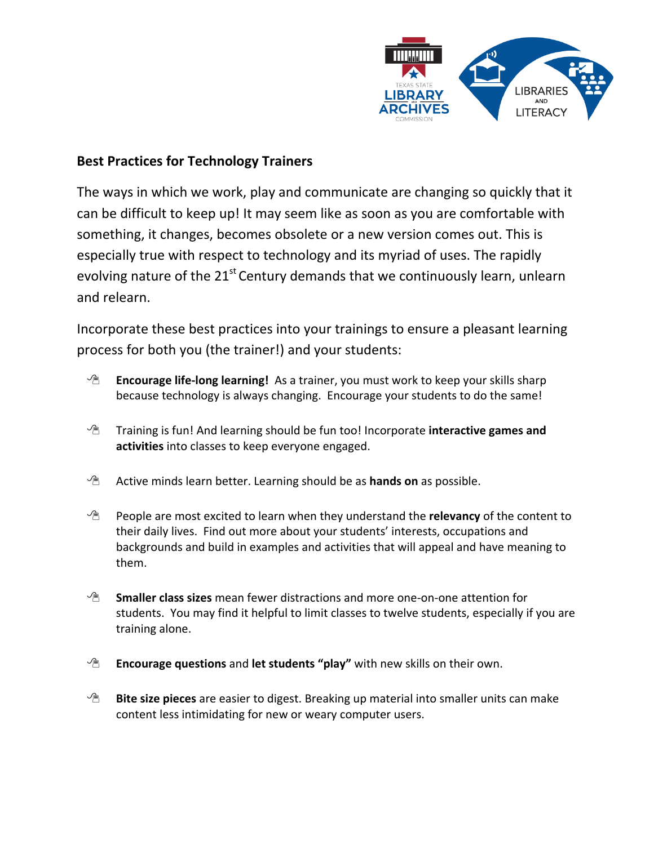

## **Best Practices for Technology Trainers**

The ways in which we work, play and communicate are changing so quickly that it can be difficult to keep up! It may seem like as soon as you are comfortable with something, it changes, becomes obsolete or a new version comes out. This is especially true with respect to technology and its myriad of uses. The rapidly evolving nature of the  $21^{st}$  Century demands that we continuously learn, unlearn and relearn.

Incorporate these best practices into your trainings to ensure a pleasant learning process for both you (the trainer!) and your students:

- **Encourage life-long learning!** As a trainer, you must work to keep your skills sharp because technology is always changing. Encourage your students to do the same!
- Training is fun! And learning should be fun too! Incorporate **interactive games and activities** into classes to keep everyone engaged.
- Active minds learn better. Learning should be as **hands on** as possible.
- People are most excited to learn when they understand the **relevancy** of the content to their daily lives. Find out more about your students' interests, occupations and backgrounds and build in examples and activities that will appeal and have meaning to them.
- **Smaller class sizes** mean fewer distractions and more one-on-one attention for students. You may find it helpful to limit classes to twelve students, especially if you are training alone.
- **Encourage questions** and **let students "play"** with new skills on their own.
- **Bite size pieces** are easier to digest. Breaking up material into smaller units can make content less intimidating for new or weary computer users.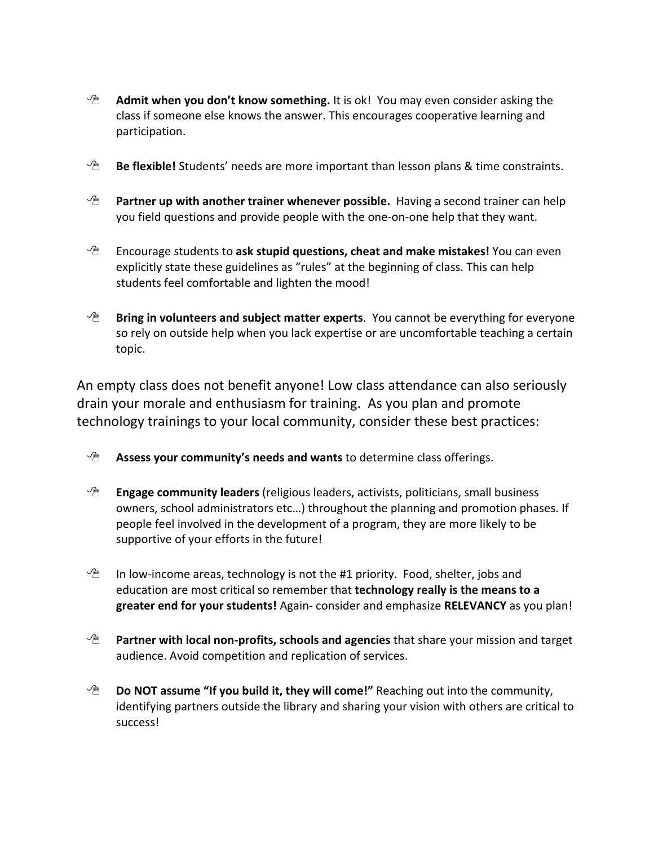- **Admit when you don't know something.** It is ok! You may even consider asking the class if someone else knows the answer. This encourages cooperative learning and participation.
- **Be flexible!** Students' needs are more important than lesson plans & time constraints.
- **<sup>A</sup> Partner up with another trainer whenever possible.** Having a second trainer can help you field questions and provide people with the one-on-one help that they want.
- Encourage students to **ask stupid questions, cheat and make mistakes!** You can even explicitly state these guidelines as "rules" at the beginning of class. This can help students feel comfortable and lighten the mood!
- **Bring in volunteers and subject matter experts**. You cannot be everything for everyone so rely on outside help when you lack expertise or are uncomfortable teaching a certain topic.

An empty class does not benefit anyone! Low class attendance can also seriously drain your morale and enthusiasm for training. As you plan and promote technology trainings to your local community, consider these best practices:

- **Assess your community's needs and wants** to determine class offerings.
- **Engage community leaders** (religious leaders, activists, politicians, small business owners, school administrators etc…) throughout the planning and promotion phases. If people feel involved in the development of a program, they are more likely to be supportive of your efforts in the future!
- $\mathcal{P}$  In low-income areas, technology is not the #1 priority. Food, shelter, jobs and education are most critical so remember that **technology really is the means to a greater end for your students!** Again- consider and emphasize **RELEVANCY** as you plan!
- **Partner with local non-profits, schools and agencies** that share your mission and target audience. Avoid competition and replication of services.
- **Do NOT assume "If you build it, they will come!"** Reaching out into the community, identifying partners outside the library and sharing your vision with others are critical to success!